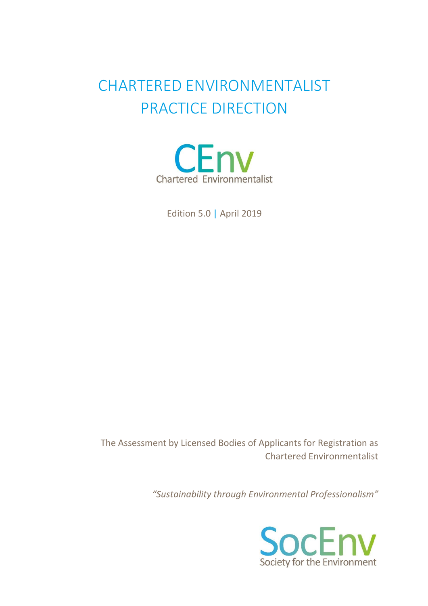# CHARTERED ENVIRONMENTALIST PRACTICE DIRECTION



Edition 5.0 | April 2019

The Assessment by Licensed Bodies of Applicants for Registration as Chartered Environmentalist

*"Sustainability through Environmental Professionalism"*

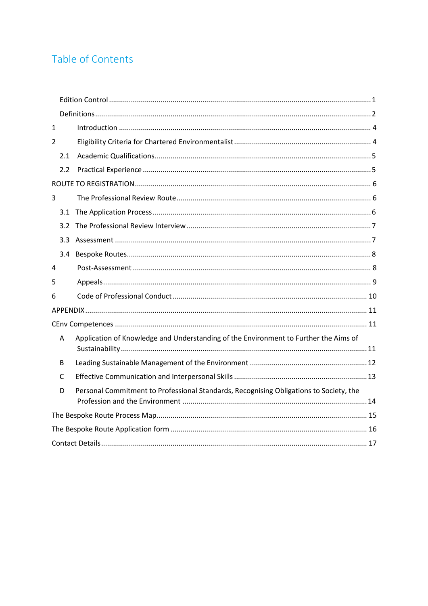## Table of Contents

| $\mathbf{1}$   |                                                                                        |
|----------------|----------------------------------------------------------------------------------------|
| $\overline{2}$ |                                                                                        |
| 2.1            |                                                                                        |
| 2.2            |                                                                                        |
|                |                                                                                        |
| 3              |                                                                                        |
|                |                                                                                        |
| $3.2^{\circ}$  |                                                                                        |
| 3.3            |                                                                                        |
| 3.4            |                                                                                        |
| 4              |                                                                                        |
| 5              |                                                                                        |
| 6              |                                                                                        |
|                |                                                                                        |
|                |                                                                                        |
| A              | Application of Knowledge and Understanding of the Environment to Further the Aims of   |
| B              |                                                                                        |
| C              |                                                                                        |
| D              | Personal Commitment to Professional Standards, Recognising Obligations to Society, the |
|                |                                                                                        |
|                |                                                                                        |
|                |                                                                                        |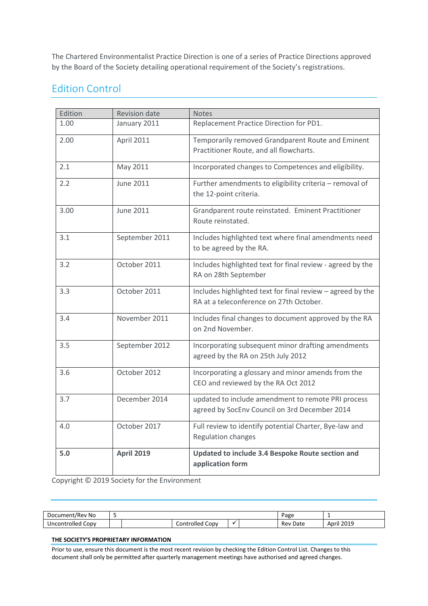The Chartered Environmentalist Practice Direction is one of a series of Practice Directions approved by the Board of the Society detailing operational requirement of the Society's registrations.

### <span id="page-2-0"></span>Edition Control

| Edition | <b>Revision date</b> | <b>Notes</b>                                                                                          |
|---------|----------------------|-------------------------------------------------------------------------------------------------------|
| 1.00    | January 2011         | Replacement Practice Direction for PD1.                                                               |
| 2.00    | April 2011           | Temporarily removed Grandparent Route and Eminent<br>Practitioner Route, and all flowcharts.          |
| 2.1     | May 2011             | Incorporated changes to Competences and eligibility.                                                  |
| 2.2     | <b>June 2011</b>     | Further amendments to eligibility criteria - removal of<br>the 12-point criteria.                     |
| 3.00    | <b>June 2011</b>     | Grandparent route reinstated. Eminent Practitioner<br>Route reinstated.                               |
| 3.1     | September 2011       | Includes highlighted text where final amendments need<br>to be agreed by the RA.                      |
| 3.2     | October 2011         | Includes highlighted text for final review - agreed by the<br>RA on 28th September                    |
| 3.3     | October 2011         | Includes highlighted text for final review - agreed by the<br>RA at a teleconference on 27th October. |
| 3.4     | November 2011        | Includes final changes to document approved by the RA<br>on 2nd November.                             |
| 3.5     | September 2012       | Incorporating subsequent minor drafting amendments<br>agreed by the RA on 25th July 2012              |
| 3.6     | October 2012         | Incorporating a glossary and minor amends from the<br>CEO and reviewed by the RA Oct 2012             |
| 3.7     | December 2014        | updated to include amendment to remote PRI process<br>agreed by SocEnv Council on 3rd December 2014   |
| 4.0     | October 2017         | Full review to identify potential Charter, Bye-law and<br><b>Regulation changes</b>                   |
| 5.0     | <b>April 2019</b>    | Updated to include 3.4 Bespoke Route section and<br>application form                                  |

Copyright © 2019 Society for the Environment

| : No<br>Document/Rev                 |                                  |  |  | Page             |                              |
|--------------------------------------|----------------------------------|--|--|------------------|------------------------------|
| <br>Uncontrolled<br>COD <sup>V</sup> | -<br>_ontrolled <b>′</b><br>CODV |  |  | Date<br>Rev<br>. | 2010<br>April<br>-01-<br>___ |

#### **THE SOCIETY'S PROPRIETARY INFORMATION**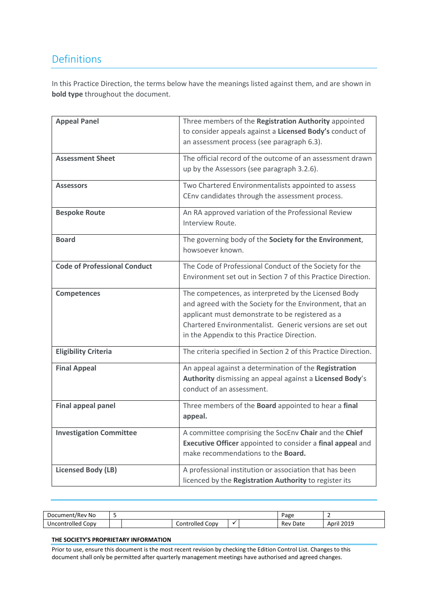### <span id="page-3-0"></span>Definitions

In this Practice Direction, the terms below have the meanings listed against them, and are shown in **bold type** throughout the document.

| <b>Appeal Panel</b>                 | Three members of the Registration Authority appointed           |
|-------------------------------------|-----------------------------------------------------------------|
|                                     | to consider appeals against a Licensed Body's conduct of        |
|                                     | an assessment process (see paragraph 6.3).                      |
| <b>Assessment Sheet</b>             | The official record of the outcome of an assessment drawn       |
|                                     |                                                                 |
|                                     | up by the Assessors (see paragraph 3.2.6).                      |
| <b>Assessors</b>                    | Two Chartered Environmentalists appointed to assess             |
|                                     | CEnv candidates through the assessment process.                 |
| <b>Bespoke Route</b>                | An RA approved variation of the Professional Review             |
|                                     | Interview Route.                                                |
| <b>Board</b>                        | The governing body of the Society for the Environment,          |
|                                     | howsoever known.                                                |
| <b>Code of Professional Conduct</b> | The Code of Professional Conduct of the Society for the         |
|                                     |                                                                 |
|                                     | Environment set out in Section 7 of this Practice Direction.    |
| <b>Competences</b>                  | The competences, as interpreted by the Licensed Body            |
|                                     | and agreed with the Society for the Environment, that an        |
|                                     | applicant must demonstrate to be registered as a                |
|                                     | Chartered Environmentalist. Generic versions are set out        |
|                                     | in the Appendix to this Practice Direction.                     |
|                                     |                                                                 |
| <b>Eligibility Criteria</b>         | The criteria specified in Section 2 of this Practice Direction. |
| <b>Final Appeal</b>                 | An appeal against a determination of the Registration           |
|                                     | Authority dismissing an appeal against a Licensed Body's        |
|                                     | conduct of an assessment.                                       |
| <b>Final appeal panel</b>           | Three members of the Board appointed to hear a final            |
|                                     | appeal.                                                         |
|                                     |                                                                 |
| <b>Investigation Committee</b>      | A committee comprising the SocEnv Chair and the Chief           |
|                                     | Executive Officer appointed to consider a final appeal and      |
|                                     | make recommendations to the <b>Board.</b>                       |
| <b>Licensed Body (LB)</b>           | A professional institution or association that has been         |
|                                     | licenced by the Registration Authority to register its          |

| : No<br>Docum<br>.nent/Rev               |                         |  |  | <b>Page</b> |                     |
|------------------------------------------|-------------------------|--|--|-------------|---------------------|
| <br>$\mathsf{conv}$<br>າtrolled<br>Jncor | ntrolled<br>CODV<br>_or |  |  | Rev<br>Date | 2019<br>Anrıl<br>__ |

#### **THE SOCIETY'S PROPRIETARY INFORMATION**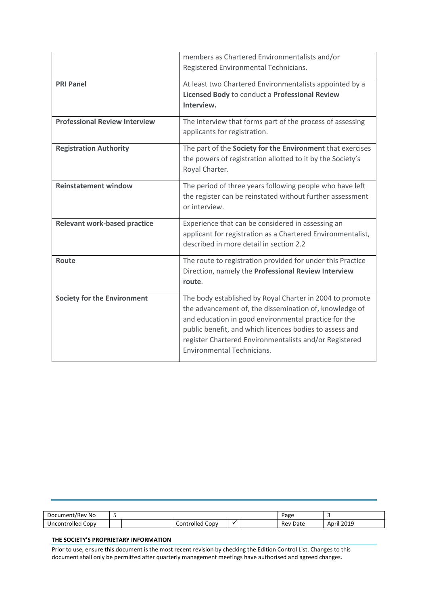|                                      | members as Chartered Environmentalists and/or<br>Registered Environmental Technicians.                                                                                                                                                                                                                                               |
|--------------------------------------|--------------------------------------------------------------------------------------------------------------------------------------------------------------------------------------------------------------------------------------------------------------------------------------------------------------------------------------|
| <b>PRI Panel</b>                     | At least two Chartered Environmentalists appointed by a<br>Licensed Body to conduct a Professional Review<br>Interview.                                                                                                                                                                                                              |
| <b>Professional Review Interview</b> | The interview that forms part of the process of assessing<br>applicants for registration.                                                                                                                                                                                                                                            |
| <b>Registration Authority</b>        | The part of the Society for the Environment that exercises<br>the powers of registration allotted to it by the Society's<br>Royal Charter.                                                                                                                                                                                           |
| <b>Reinstatement window</b>          | The period of three years following people who have left<br>the register can be reinstated without further assessment<br>or interview.                                                                                                                                                                                               |
| <b>Relevant work-based practice</b>  | Experience that can be considered in assessing an<br>applicant for registration as a Chartered Environmentalist,<br>described in more detail in section 2.2                                                                                                                                                                          |
| Route                                | The route to registration provided for under this Practice<br>Direction, namely the Professional Review Interview<br>route.                                                                                                                                                                                                          |
| <b>Society for the Environment</b>   | The body established by Royal Charter in 2004 to promote<br>the advancement of, the dissemination of, knowledge of<br>and education in good environmental practice for the<br>public benefit, and which licences bodies to assess and<br>register Chartered Environmentalists and/or Registered<br><b>Environmental Technicians.</b> |

| Document/Rev No      |                                                    | age | $\sim$ |             |                     |
|----------------------|----------------------------------------------------|-----|--------|-------------|---------------------|
| Uncontrolled<br>CODV | $\overline{\phantom{0}}$<br>Controlled C<br>. CODV |     |        | Rev<br>Date | 2019<br>April<br>__ |

#### **THE SOCIETY'S PROPRIETARY INFORMATION**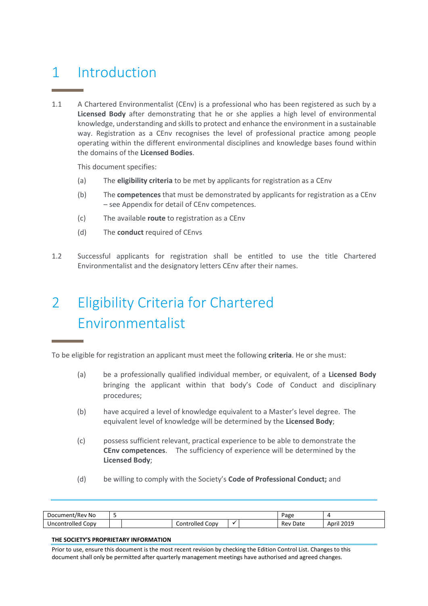## <span id="page-5-0"></span>1 Introduction

1.1 A Chartered Environmentalist (CEnv) is a professional who has been registered as such by a **Licensed Body** after demonstrating that he or she applies a high level of environmental knowledge, understanding and skills to protect and enhance the environment in a sustainable way. Registration as a CEnv recognises the level of professional practice among people operating within the different environmental disciplines and knowledge bases found within the domains of the **Licensed Bodies**.

This document specifies:

- (a) The **eligibility criteria** to be met by applicants for registration as a CEnv
- (b) The **competences** that must be demonstrated by applicants for registration as a CEnv – see Appendix for detail of CEnv competences.
- (c) The available **route** to registration as a CEnv
- (d) The **conduct** required of CEnvs
- 1.2 Successful applicants for registration shall be entitled to use the title Chartered Environmentalist and the designatory letters CEnv after their names.

# <span id="page-5-1"></span>2 Eligibility Criteria for Chartered Environmentalist

To be eligible for registration an applicant must meet the following **criteria**. He or she must:

- (a) be a professionally qualified individual member, or equivalent, of a **Licensed Body**  bringing the applicant within that body's Code of Conduct and disciplinary procedures;
- (b) have acquired a level of knowledge equivalent to a Master's level degree. The equivalent level of knowledge will be determined by the **Licensed Body**;
- (c) possess sufficient relevant, practical experience to be able to demonstrate the **CEnv competences**. The sufficiency of experience will be determined by the **Licensed Body**;
- (d) be willing to comply with the Society's **Code of Professional Conduct;** and

| /Rev No<br>Document/ |  |                                                           |  |  | <sup>o</sup> age |                      |
|----------------------|--|-----------------------------------------------------------|--|--|------------------|----------------------|
| Copy<br>Uncontrolled |  | $\overline{\phantom{0}}$<br>Controlled <b>C</b><br>. CODV |  |  | Rev<br>Date<br>. | 2019<br>Apri'<br>___ |

#### **THE SOCIETY'S PROPRIETARY INFORMATION**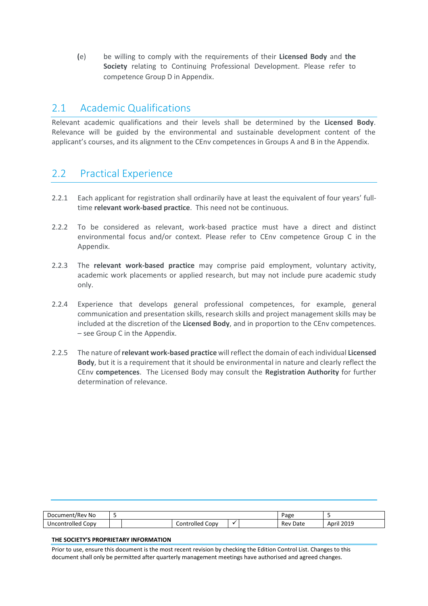**(**e) be willing to comply with the requirements of their **Licensed Body** and **the Society** relating to Continuing Professional Development. Please refer to competence Group D in Appendix.

### <span id="page-6-0"></span>2.1 Academic Qualifications

Relevant academic qualifications and their levels shall be determined by the **Licensed Body**. Relevance will be guided by the environmental and sustainable development content of the applicant's courses, and its alignment to the CEnv competences in Groups A and B in the Appendix.

### <span id="page-6-1"></span>2.2 Practical Experience

- 2.2.1 Each applicant for registration shall ordinarily have at least the equivalent of four years' fulltime **relevant work-based practice**. This need not be continuous.
- 2.2.2 To be considered as relevant, work-based practice must have a direct and distinct environmental focus and/or context. Please refer to CEnv competence Group C in the Appendix.
- 2.2.3 The **relevant work-based practice** may comprise paid employment, voluntary activity, academic work placements or applied research, but may not include pure academic study only.
- 2.2.4 Experience that develops general professional competences, for example, general communication and presentation skills, research skills and project management skills may be included at the discretion of the **Licensed Body**, and in proportion to the CEnv competences. – see Group C in the Appendix.
- 2.2.5 The nature of **relevant work-based practice** will reflect the domain of each individual **Licensed Body**, but it is a requirement that it should be environmental in nature and clearly reflect the CEnv **competences**. The Licensed Body may consult the **Registration Authority** for further determination of relevance.

| No<br>Docum<br>et/Revi<br>nent.                  |                                                 |  | ⊾חבי<br>age |                       |
|--------------------------------------------------|-------------------------------------------------|--|-------------|-----------------------|
| $-22 - 11 - 21$<br>CODV<br>. Inco<br>m<br>≅∪lleu | $\overline{\phantom{a}}$<br>$\cup$ ODV<br>olled |  | Rev<br>Date | 2019<br>– Apr<br>____ |

#### **THE SOCIETY'S PROPRIETARY INFORMATION**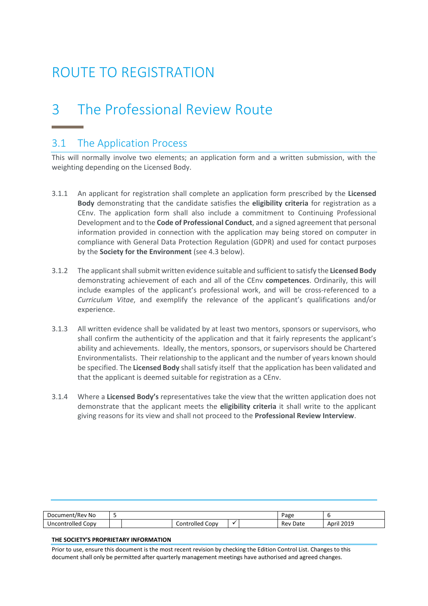# <span id="page-7-0"></span>ROUTE TO REGISTRATION

## <span id="page-7-1"></span>3 The Professional Review Route

### <span id="page-7-2"></span>3.1 The Application Process

This will normally involve two elements; an application form and a written submission, with the weighting depending on the Licensed Body.

- 3.1.1 An applicant for registration shall complete an application form prescribed by the **Licensed Body** demonstrating that the candidate satisfies the **eligibility criteria** for registration as a CEnv. The application form shall also include a commitment to Continuing Professional Development and to the **Code of Professional Conduct**, and a signed agreement that personal information provided in connection with the application may being stored on computer in compliance with General Data Protection Regulation (GDPR) and used for contact purposes by the **Society for the Environment** (see 4.3 below).
- 3.1.2 The applicant shall submit written evidence suitable and sufficient to satisfy the **Licensed Body** demonstrating achievement of each and all of the CEnv **competences**. Ordinarily, this will include examples of the applicant's professional work, and will be cross-referenced to a *Curriculum Vitae*, and exemplify the relevance of the applicant's qualifications and/or experience.
- 3.1.3 All written evidence shall be validated by at least two mentors, sponsors or supervisors, who shall confirm the authenticity of the application and that it fairly represents the applicant's ability and achievements. Ideally, the mentors, sponsors, or supervisors should be Chartered Environmentalists. Their relationship to the applicant and the number of years known should be specified. The **Licensed Body** shall satisfy itself that the application has been validated and that the applicant is deemed suitable for registration as a CEnv.
- 3.1.4 Where a **Licensed Body's** representatives take the view that the written application does not demonstrate that the applicant meets the **eligibility criteria** it shall write to the applicant giving reasons for its view and shall not proceed to the **Professional Review Interview**.

| Document/Rev No        |                    |  | Page        |                     |
|------------------------|--------------------|--|-------------|---------------------|
| CODV<br>ntrolled<br>Jn | Controlled<br>CODV |  | Date<br>kev | 2010<br>"Apr<br>∠U⊥ |

#### **THE SOCIETY'S PROPRIETARY INFORMATION**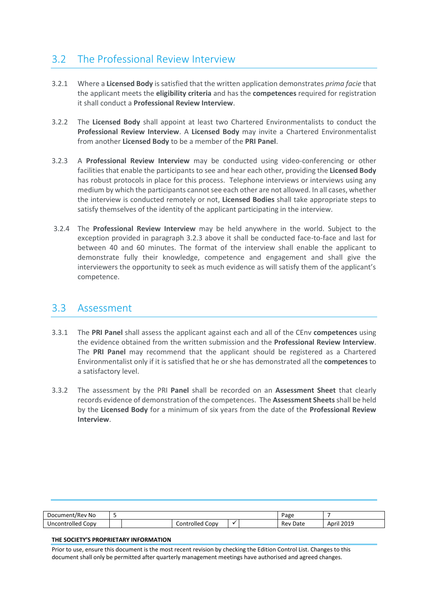### <span id="page-8-0"></span>3.2 The Professional Review Interview

- 3.2.1 Where a **Licensed Body** is satisfied that the written application demonstrates *prima facie* that the applicant meets the **eligibility criteria** and has the **competences** required for registration it shall conduct a **Professional Review Interview**.
- 3.2.2 The **Licensed Body** shall appoint at least two Chartered Environmentalists to conduct the **Professional Review Interview**. A **Licensed Body** may invite a Chartered Environmentalist from another **Licensed Body** to be a member of the **PRI Panel**.
- 3.2.3 A **Professional Review Interview** may be conducted using video-conferencing or other facilities that enable the participants to see and hear each other, providing the **Licensed Body** has robust protocols in place for this process. Telephone interviews or interviews using any medium by which the participants cannot see each other are not allowed. In all cases, whether the interview is conducted remotely or not, **Licensed Bodies** shall take appropriate steps to satisfy themselves of the identity of the applicant participating in the interview.
- 3.2.4 The **Professional Review Interview** may be held anywhere in the world. Subject to the exception provided in paragraph 3.2.3 above it shall be conducted face-to-face and last for between 40 and 60 minutes. The format of the interview shall enable the applicant to demonstrate fully their knowledge, competence and engagement and shall give the interviewers the opportunity to seek as much evidence as will satisfy them of the applicant's competence.

### <span id="page-8-1"></span>3.3 Assessment

- 3.3.1 The **PRI Panel** shall assess the applicant against each and all of the CEnv **competences** using the evidence obtained from the written submission and the **Professional Review Interview**. The **PRI Panel** may recommend that the applicant should be registered as a Chartered Environmentalist only if it is satisfied that he or she has demonstrated all the **competences** to a satisfactory level.
- 3.3.2 The assessment by the PRI **Panel** shall be recorded on an **Assessment Sheet** that clearly records evidence of demonstration of the competences. The **Assessment Sheets** shall be held by the **Licensed Body** for a minimum of six years from the date of the **Professional Review Interview**.

| Document/Rev No      |            |          | Page        |              |
|----------------------|------------|----------|-------------|--------------|
| Copy<br>Uncontrolled | Controlled | Copy<br> | Rev<br>Date | 2019<br>Apri |

#### **THE SOCIETY'S PROPRIETARY INFORMATION**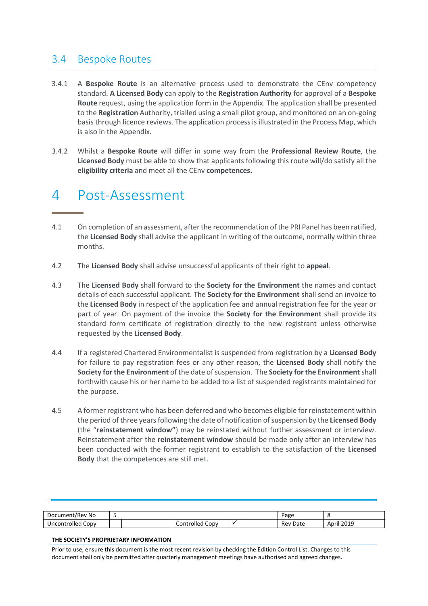### <span id="page-9-0"></span>3.4 Bespoke Routes

- 3.4.1 A **Bespoke Route** is an alternative process used to demonstrate the CEnv competency standard. **A Licensed Body** can apply to the **Registration Authority** for approval of a **Bespoke Route** request, using the application form in the Appendix. The application shall be presented to the **Registration** Authority, trialled using a small pilot group, and monitored on an on-going basis through licence reviews. The application process is illustrated in the Process Map, which is also in the Appendix.
- 3.4.2 Whilst a **Bespoke Route** will differ in some way from the **Professional Review Route**, the **Licensed Body** must be able to show that applicants following this route will/do satisfy all the **eligibility criteria** and meet all the CEnv **competences.**

## <span id="page-9-1"></span>4 Post-Assessment

- 4.1 On completion of an assessment, after the recommendation of the PRI Panel has been ratified, the **Licensed Body** shall advise the applicant in writing of the outcome, normally within three months.
- 4.2 The **Licensed Body** shall advise unsuccessful applicants of their right to **appeal**.
- 4.3 The **Licensed Body** shall forward to the **Society for the Environment** the names and contact details of each successful applicant. The **Society for the Environment** shall send an invoice to the **Licensed Body** in respect of the application fee and annual registration fee for the year or part of year. On payment of the invoice the **Society for the Environment** shall provide its standard form certificate of registration directly to the new registrant unless otherwise requested by the **Licensed Body**.
- 4.4 If a registered Chartered Environmentalist is suspended from registration by a **Licensed Body** for failure to pay registration fees or any other reason, the **Licensed Body** shall notify the **Society for the Environment** of the date of suspension. The **Society for the Environment** shall forthwith cause his or her name to be added to a list of suspended registrants maintained for the purpose.
- 4.5 A former registrant who has been deferred and who becomes eligible for reinstatement within the period of three years following the date of notification of suspension by the **Licensed Body** (the "**reinstatement window"**) may be reinstated without further assessment or interview. Reinstatement after the **reinstatement window** should be made only after an interview has been conducted with the former registrant to establish to the satisfaction of the **Licensed Body** that the competences are still met.

| Document/Rev No                        |                                                |           | Page        |                             |
|----------------------------------------|------------------------------------------------|-----------|-------------|-----------------------------|
| <br>-<br>าtrolled<br>CODV<br>uncontro: | $\overline{\phantom{0}}$<br>Iontrolled<br>CODV | $\bullet$ | Date<br>Rev | 2010<br>\nril<br>-01-<br>__ |

#### **THE SOCIETY'S PROPRIETARY INFORMATION**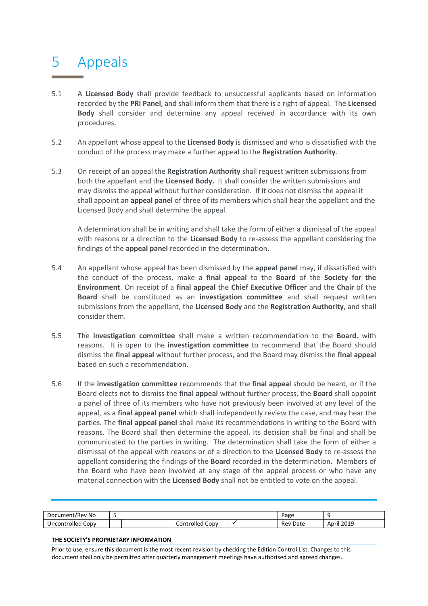## <span id="page-10-0"></span>5 Appeals

- 5.1 A **Licensed Body** shall provide feedback to unsuccessful applicants based on information recorded by the **PRI Panel**, and shall inform them that there is a right of appeal. The **Licensed Body** shall consider and determine any appeal received in accordance with its own procedures.
- 5.2 An appellant whose appeal to the **Licensed Body** is dismissed and who is dissatisfied with the conduct of the process may make a further appeal to the **Registration Authority**.
- 5.3 On receipt of an appeal the **Registration Authority** shall request written submissions from both the appellant and the **Licensed Body.** It shall consider the written submissions and may dismiss the appeal without further consideration. If it does not dismiss the appeal it shall appoint an **appeal panel** of three of its members which shall hear the appellant and the Licensed Body and shall determine the appeal.

A determination shall be in writing and shall take the form of either a dismissal of the appeal with reasons or a direction to the **Licensed Body** to re-assess the appellant considering the findings of the **appeal panel** recorded in the determination**.**

- 5.4 An appellant whose appeal has been dismissed by the **appeal panel** may, if dissatisfied with the conduct of the process, make a **final appeal** to the **Board** of the **Society for the Environment**. On receipt of a **final appeal** the **Chief Executive Officer** and the **Chair** of the **Board** shall be constituted as an **investigation committee** and shall request written submissions from the appellant, the **Licensed Body** and the **Registration Authority**, and shall consider them.
- 5.5 The **investigation committee** shall make a written recommendation to the **Board**, with reasons. It is open to the **investigation committee** to recommend that the Board should dismiss the **final appeal** without further process, and the Board may dismiss the **final appeal** based on such a recommendation.
- 5.6 If the **investigation committee** recommends that the **final appeal** should be heard, or if the Board elects not to dismiss the **final appeal** without further process, the **Board** shall appoint a panel of three of its members who have not previously been involved at any level of the appeal, as a **final appeal panel** which shall independently review the case, and may hear the parties. The **final appeal panel** shall make its recommendations in writing to the Board with reasons. The Board shall then determine the appeal. Its decision shall be final and shall be communicated to the parties in writing. The determination shall take the form of either a dismissal of the appeal with reasons or of a direction to the **Licensed Body** to re-assess the appellant considering the findings of the **Board** recorded in the determination. Members of the Board who have been involved at any stage of the appeal process or who have any material connection with the **Licensed Body** shall not be entitled to vote on the appeal.

| Document/Rev No      |                                 | Page |  |             |                     |
|----------------------|---------------------------------|------|--|-------------|---------------------|
| Copy<br>Uncontrolled | ∴ontrolled <sup>.</sup><br>CODV |      |  | Date<br>Rev | 2019<br>April<br>__ |

#### **THE SOCIETY'S PROPRIETARY INFORMATION**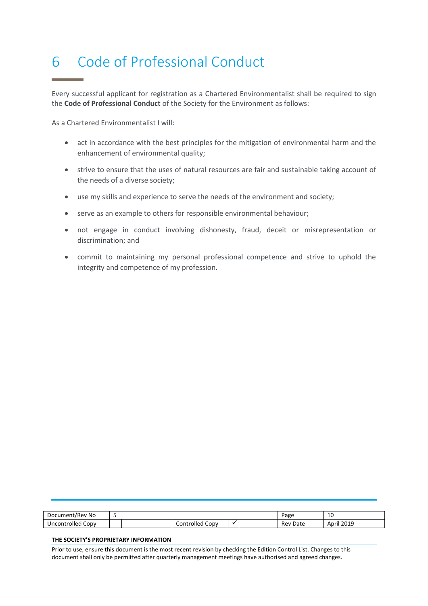## <span id="page-11-0"></span>6 Code of Professional Conduct

Every successful applicant for registration as a Chartered Environmentalist shall be required to sign the **Code of Professional Conduct** of the Society for the Environment as follows:

As a Chartered Environmentalist I will:

- act in accordance with the best principles for the mitigation of environmental harm and the enhancement of environmental quality;
- strive to ensure that the uses of natural resources are fair and sustainable taking account of the needs of a diverse society;
- use my skills and experience to serve the needs of the environment and society;
- serve as an example to others for responsible environmental behaviour;
- not engage in conduct involving dishonesty, fraud, deceit or misrepresentation or discrimination; and
- commit to maintaining my personal professional competence and strive to uphold the integrity and competence of my profession.

| <sup>.</sup> No<br>Document/Rev |                      | Page | 10 |             |               |
|---------------------------------|----------------------|------|----|-------------|---------------|
| CODV<br>Uncontrolled            | CODV<br>Controlled ( |      |    | Rev<br>Date | 2019<br>April |

#### **THE SOCIETY'S PROPRIETARY INFORMATION**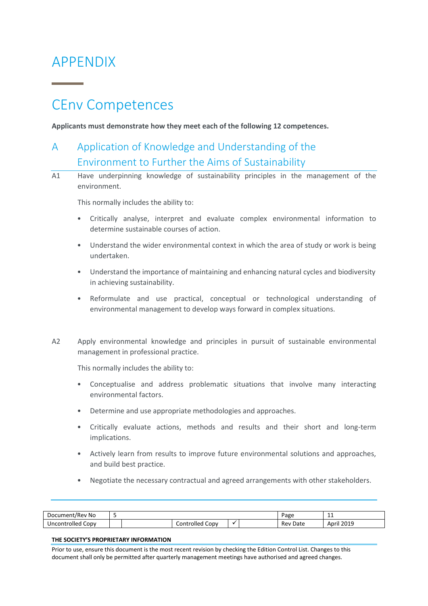## <span id="page-12-0"></span>APPENDIX

## <span id="page-12-1"></span>CEnv Competences

<span id="page-12-2"></span>**Applicants must demonstrate how they meet each of the following 12 competences.** 

## A Application of Knowledge and Understanding of the Environment to Further the Aims of Sustainability

A1 Have underpinning knowledge of sustainability principles in the management of the environment.

This normally includes the ability to:

- Critically analyse, interpret and evaluate complex environmental information to determine sustainable courses of action.
- Understand the wider environmental context in which the area of study or work is being undertaken.
- Understand the importance of maintaining and enhancing natural cycles and biodiversity in achieving sustainability.
- Reformulate and use practical, conceptual or technological understanding of environmental management to develop ways forward in complex situations.
- A2 Apply environmental knowledge and principles in pursuit of sustainable environmental management in professional practice.

This normally includes the ability to:

- Conceptualise and address problematic situations that involve many interacting environmental factors.
- Determine and use appropriate methodologies and approaches.
- Critically evaluate actions, methods and results and their short and long-term implications.
- Actively learn from results to improve future environmental solutions and approaches, and build best practice.
- Negotiate the necessary contractual and agreed arrangements with other stakeholders.

| -<br>Document/Rev No |  |  |                      |  |  | Page        | .                             |
|----------------------|--|--|----------------------|--|--|-------------|-------------------------------|
| Copy<br>Uncontrolled |  |  | Controlled<br>. CODV |  |  | Rev<br>Date | il 2019 <sup>.</sup><br>April |

#### **THE SOCIETY'S PROPRIETARY INFORMATION**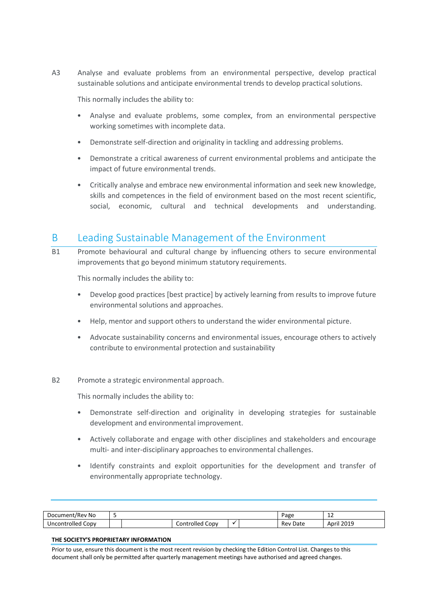A3 Analyse and evaluate problems from an environmental perspective, develop practical sustainable solutions and anticipate environmental trends to develop practical solutions.

This normally includes the ability to:

- Analyse and evaluate problems, some complex, from an environmental perspective working sometimes with incomplete data.
- Demonstrate self-direction and originality in tackling and addressing problems.
- Demonstrate a critical awareness of current environmental problems and anticipate the impact of future environmental trends.
- Critically analyse and embrace new environmental information and seek new knowledge, skills and competences in the field of environment based on the most recent scientific, social, economic, cultural and technical developments and understanding.

### <span id="page-13-0"></span>B Leading Sustainable Management of the Environment

B1 Promote behavioural and cultural change by influencing others to secure environmental improvements that go beyond minimum statutory requirements.

This normally includes the ability to:

- Develop good practices [best practice] by actively learning from results to improve future environmental solutions and approaches.
- Help, mentor and support others to understand the wider environmental picture.
- Advocate sustainability concerns and environmental issues, encourage others to actively contribute to environmental protection and sustainability
- B2 Promote a strategic environmental approach.

This normally includes the ability to:

- Demonstrate self-direction and originality in developing strategies for sustainable development and environmental improvement.
- Actively collaborate and engage with other disciplines and stakeholders and encourage multi- and inter-disciplinary approaches to environmental challenges.
- Identify constraints and exploit opportunities for the development and transfer of environmentally appropriate technology.

| Document/Rev No               |                      | ∍age | <b></b> |             |                     |
|-------------------------------|----------------------|------|---------|-------------|---------------------|
| Copy<br>ncontrolled<br>Uncont | Controlled :<br>CODV |      |         | Date<br>Rev | 2019<br>April<br>__ |

#### **THE SOCIETY'S PROPRIETARY INFORMATION**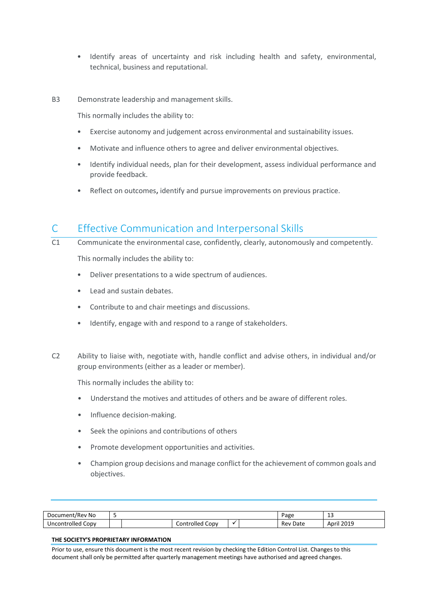- Identify areas of uncertainty and risk including health and safety, environmental, technical, business and reputational.
- B3 Demonstrate leadership and management skills.

This normally includes the ability to:

- Exercise autonomy and judgement across environmental and sustainability issues.
- Motivate and influence others to agree and deliver environmental objectives.
- Identify individual needs, plan for their development, assess individual performance and provide feedback.
- Reflect on outcomes**,** identify and pursue improvements on previous practice.

### <span id="page-14-0"></span>C Effective Communication and Interpersonal Skills

- C1 Communicate the environmental case, confidently, clearly, autonomously and competently. This normally includes the ability to:
	- Deliver presentations to a wide spectrum of audiences.
	- Lead and sustain debates.
	- Contribute to and chair meetings and discussions.
	- Identify, engage with and respond to a range of stakeholders.
- C2 Ability to liaise with, negotiate with, handle conflict and advise others, in individual and/or group environments (either as a leader or member).

This normally includes the ability to:

- Understand the motives and attitudes of others and be aware of different roles.
- Influence decision-making.
- Seek the opinions and contributions of others
- Promote development opportunities and activities.
- Champion group decisions and manage conflict for the achievement of common goals and objectives.

| Document/<br>:/Rev No  |            | Page                             | -- |  |             |                                 |
|------------------------|------------|----------------------------------|----|--|-------------|---------------------------------|
| . Copv<br>Uncontrolled | Controlled | $\overline{\phantom{0}}$<br>CODV |    |  | Rev<br>Date | ∙il 2∩1Q<br>April<br>2012<br>__ |

#### **THE SOCIETY'S PROPRIETARY INFORMATION**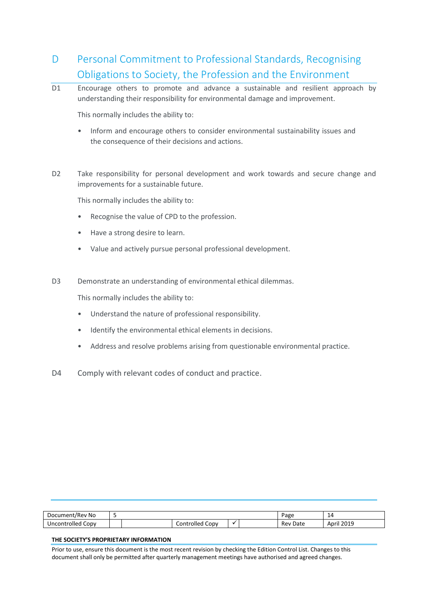## <span id="page-15-0"></span>D Personal Commitment to Professional Standards, Recognising Obligations to Society, the Profession and the Environment

D1 Encourage others to promote and advance a sustainable and resilient approach by understanding their responsibility for environmental damage and improvement.

This normally includes the ability to:

- Inform and encourage others to consider environmental sustainability issues and the consequence of their decisions and actions.
- D2 Take responsibility for personal development and work towards and secure change and improvements for a sustainable future.

This normally includes the ability to:

- Recognise the value of CPD to the profession.
- Have a strong desire to learn.
- Value and actively pursue personal professional development.
- D3 Demonstrate an understanding of environmental ethical dilemmas.

This normally includes the ability to:

- Understand the nature of professional responsibility.
- Identify the environmental ethical elements in decisions.
- Address and resolve problems arising from questionable environmental practice.
- D4 Comply with relevant codes of conduct and practice.

| Document/Rev No      |                         | Page |  |             |                               |
|----------------------|-------------------------|------|--|-------------|-------------------------------|
| Uncontrolled<br>CODV | ∽<br>Controlled<br>CODV |      |  | Rev<br>Date | il 2019 <sup>-</sup><br>April |

#### **THE SOCIETY'S PROPRIETARY INFORMATION**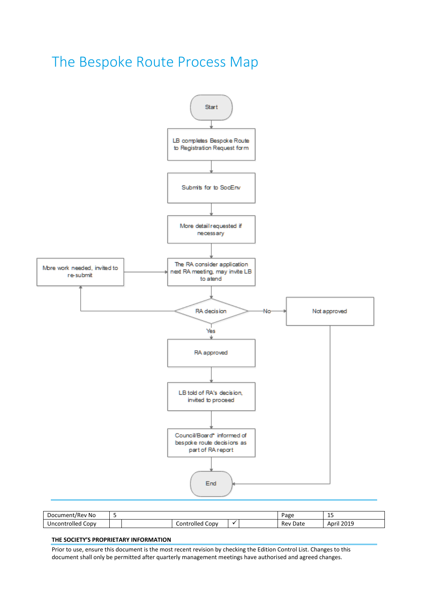## <span id="page-16-0"></span>The Bespoke Route Process Map



| Document/Rev No      |  |                    |  |  | <sup>o</sup> age | . .<br>--<br>__       |
|----------------------|--|--------------------|--|--|------------------|-----------------------|
| Uncontrolled<br>CODV |  | Controlled<br>CODV |  |  | Rev<br>Date      | 12019<br>April<br>___ |

#### **THE SOCIETY'S PROPRIETARY INFORMATION**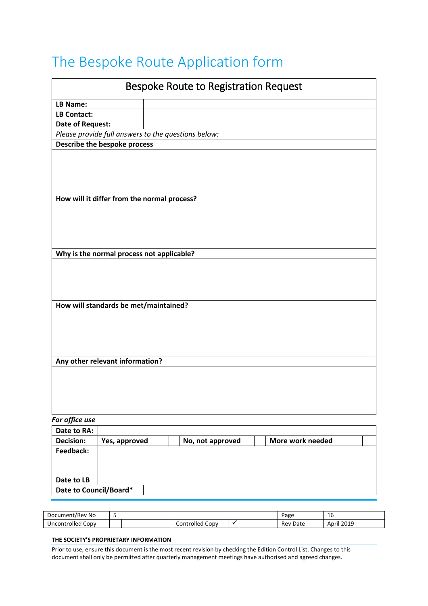# <span id="page-17-0"></span>The Bespoke Route Application form

|                        | <b>Bespoke Route to Registration Request</b>          |
|------------------------|-------------------------------------------------------|
| LB Name:               |                                                       |
| <b>LB Contact:</b>     |                                                       |
| Date of Request:       |                                                       |
|                        | Please provide full answers to the questions below:   |
|                        | Describe the bespoke process                          |
|                        |                                                       |
|                        |                                                       |
|                        |                                                       |
|                        |                                                       |
|                        | How will it differ from the normal process?           |
|                        |                                                       |
|                        |                                                       |
|                        |                                                       |
|                        | Why is the normal process not applicable?             |
|                        |                                                       |
|                        |                                                       |
|                        |                                                       |
|                        |                                                       |
|                        | How will standards be met/maintained?                 |
|                        |                                                       |
|                        |                                                       |
|                        |                                                       |
|                        |                                                       |
|                        | Any other relevant information?                       |
|                        |                                                       |
|                        |                                                       |
|                        |                                                       |
|                        |                                                       |
| For office use         |                                                       |
| Date to RA:            |                                                       |
| <b>Decision:</b>       | More work needed<br>Yes, approved<br>No, not approved |
| Feedback:              |                                                       |
|                        |                                                       |
|                        |                                                       |
| Date to LB             |                                                       |
| Date to Council/Board* |                                                       |

| Document/Rev No      |  |                           |  | Page | $\overline{ }$<br>ιb |                     |
|----------------------|--|---------------------------|--|------|----------------------|---------------------|
| CODV<br>Uncontrolled |  | ∽<br>Controlled C<br>CODV |  |      | Rev<br>Date          | 2019<br>April<br>__ |

#### **THE SOCIETY'S PROPRIETARY INFORMATION**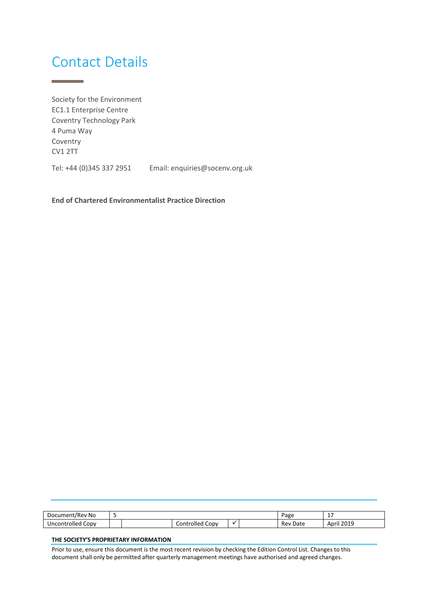## <span id="page-18-0"></span>Contact Details

<u> Tanzania (</u>

Society for the Environment EC1.1 Enterprise Centre Coventry Technology Park 4 Puma Way Coventry CV1 2TT

Tel: +44 (0)345 337 2951 Email: enquiries@socenv.org.uk

**End of Chartered Environmentalist Practice Direction**

| ' No<br>Document/F<br>:/Rev |  |                      |  | $P$ age | $\cdot$ $-$<br>. . |                                      |
|-----------------------------|--|----------------------|--|---------|--------------------|--------------------------------------|
| CODV<br>Uncontrolled        |  | CODV<br>Controlled C |  |         | Rev<br>Date        | il 2019 <sup>.</sup><br>April<br>___ |

#### **THE SOCIETY'S PROPRIETARY INFORMATION**